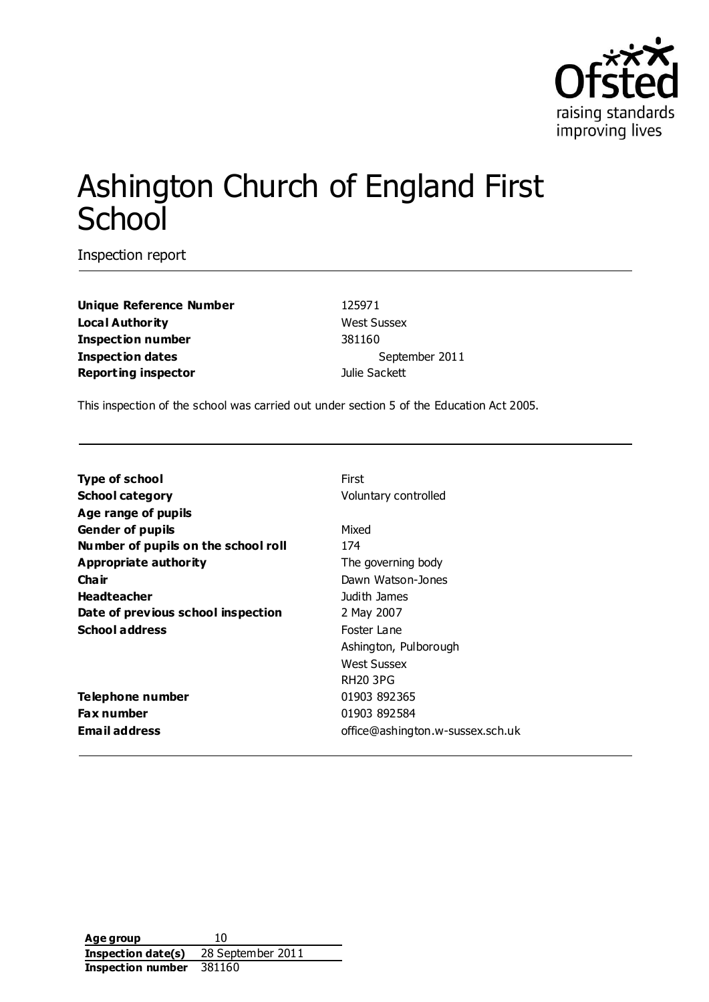

# Ashington Church of England First **School**

Inspection report

**Unique Reference Number** 125971 **Local Authority** West Sussex **Inspection number** 381160 **Inspection dates** September 2011 **Reporting inspector** and **Reporting inspector** and **Julie Sackett** 

This inspection of the school was carried out under section 5 of the Education Act 2005.

| Type of school                      | First                            |
|-------------------------------------|----------------------------------|
| School category                     | Voluntary controlled             |
| Age range of pupils                 |                                  |
| Gender of pupils                    | Mixed                            |
| Number of pupils on the school roll | 174                              |
| Appropriate authority               | The governing body               |
| Cha ir                              | Dawn Watson-Jones                |
| Headteacher                         | Judith James                     |
| Date of previous school inspection  | 2 May 2007                       |
| School address                      | Foster Lane                      |
|                                     | Ashington, Pulborough            |
|                                     | <b>West Sussex</b>               |
|                                     | <b>RH20 3PG</b>                  |
| Telephone number                    | 01903 892365                     |
| Fax number                          | 01903 892584                     |
| Email address                       | office@ashington.w-sussex.sch.uk |
|                                     |                                  |

**Age group** 10 **Inspection date(s)** 28 September 2011 **Inspection number** 381160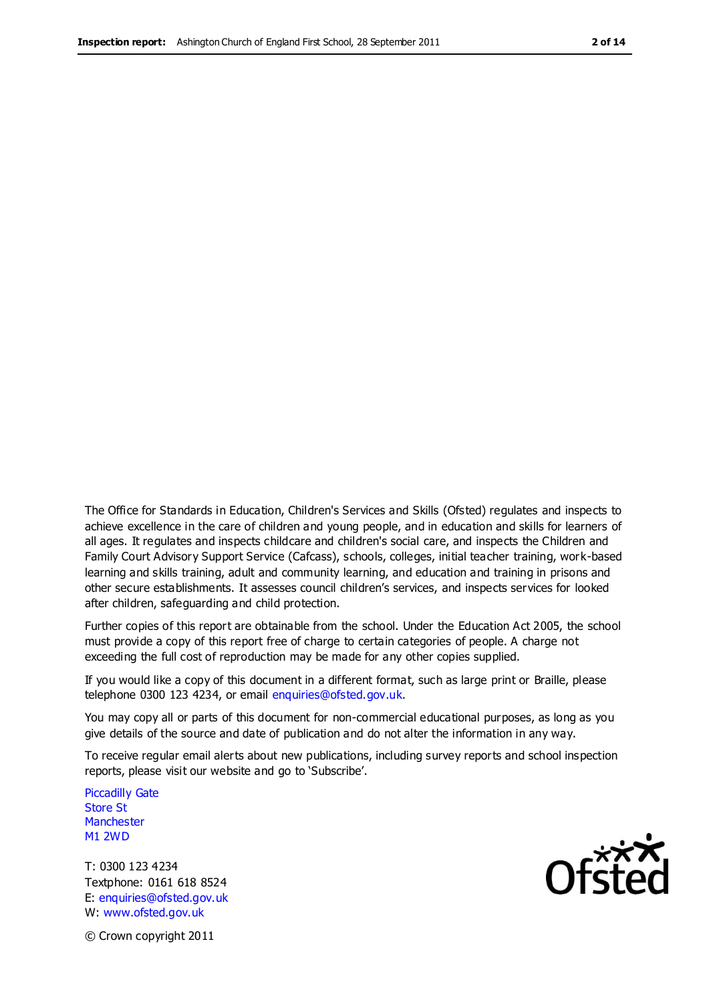The Office for Standards in Education, Children's Services and Skills (Ofsted) regulates and inspects to achieve excellence in the care of children and young people, and in education and skills for learners of all ages. It regulates and inspects childcare and children's social care, and inspects the Children and Family Court Advisory Support Service (Cafcass), schools, colleges, initial teacher training, work-based learning and skills training, adult and community learning, and education and training in prisons and other secure establishments. It assesses council children's services, and inspects services for looked after children, safeguarding and child protection.

Further copies of this report are obtainable from the school. Under the Education Act 2005, the school must provide a copy of this report free of charge to certain categories of people. A charge not exceeding the full cost of reproduction may be made for any other copies supplied.

If you would like a copy of this document in a different format, such as large print or Braille, please telephone 0300 123 4234, or email enquiries@ofsted.gov.uk.

You may copy all or parts of this document for non-commercial educational purposes, as long as you give details of the source and date of publication and do not alter the information in any way.

To receive regular email alerts about new publications, including survey reports and school inspection reports, please visit our website and go to 'Subscribe'.

Piccadilly Gate Store St **Manchester** M1 2WD

T: 0300 123 4234 Textphone: 0161 618 8524 E: enquiries@ofsted.gov.uk W: www.ofsted.gov.uk



© Crown copyright 2011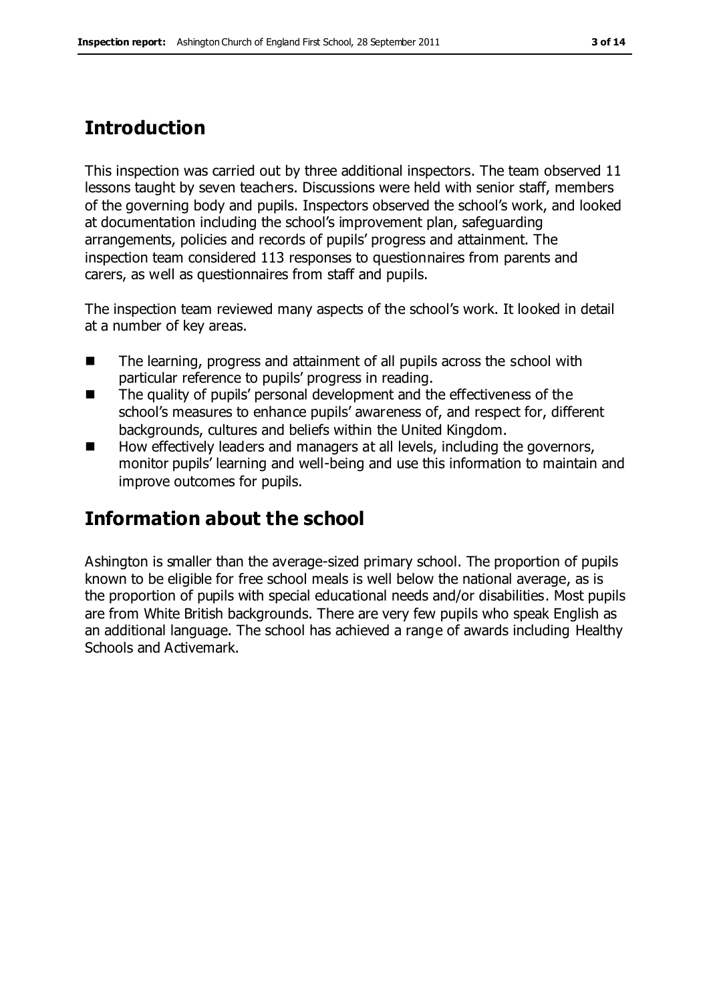## **Introduction**

This inspection was carried out by three additional inspectors. The team observed 11 lessons taught by seven teachers. Discussions were held with senior staff, members of the governing body and pupils. Inspectors observed the school's work, and looked at documentation including the school's improvement plan, safeguarding arrangements, policies and records of pupils' progress and attainment. The inspection team considered 113 responses to questionnaires from parents and carers, as well as questionnaires from staff and pupils.

The inspection team reviewed many aspects of the school's work. It looked in detail at a number of key areas.

- The learning, progress and attainment of all pupils across the school with particular reference to pupils' progress in reading.
- The quality of pupils' personal development and the effectiveness of the school's measures to enhance pupils' awareness of, and respect for, different backgrounds, cultures and beliefs within the United Kingdom.
- How effectively leaders and managers at all levels, including the governors, monitor pupils' learning and well-being and use this information to maintain and improve outcomes for pupils.

## **Information about the school**

Ashington is smaller than the average-sized primary school. The proportion of pupils known to be eligible for free school meals is well below the national average, as is the proportion of pupils with special educational needs and/or disabilities. Most pupils are from White British backgrounds. There are very few pupils who speak English as an additional language. The school has achieved a range of awards including Healthy Schools and Activemark.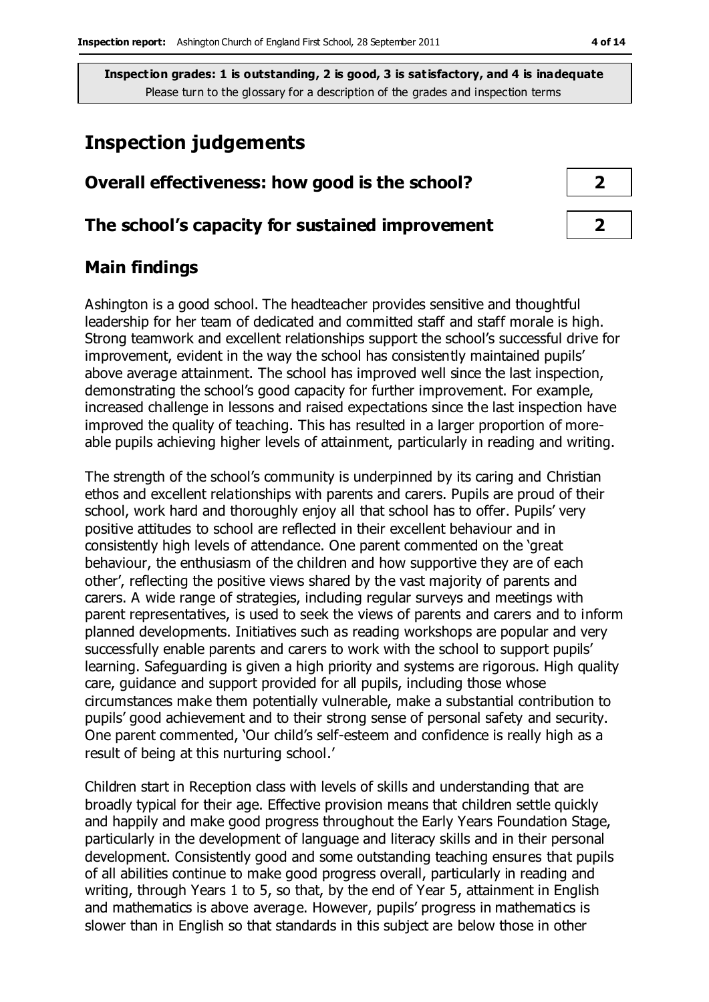## **Inspection judgements**

# **Overall effectiveness: how good is the school? 2 The school's capacity for sustained improvement 2**

## **Main findings**

Ashington is a good school. The headteacher provides sensitive and thoughtful leadership for her team of dedicated and committed staff and staff morale is high. Strong teamwork and excellent relationships support the school's successful drive for improvement, evident in the way the school has consistently maintained pupils' above average attainment. The school has improved well since the last inspection, demonstrating the school's good capacity for further improvement. For example, increased challenge in lessons and raised expectations since the last inspection have improved the quality of teaching. This has resulted in a larger proportion of moreable pupils achieving higher levels of attainment, particularly in reading and writing.

The strength of the school's community is underpinned by its caring and Christian ethos and excellent relationships with parents and carers. Pupils are proud of their school, work hard and thoroughly enjoy all that school has to offer. Pupils' very positive attitudes to school are reflected in their excellent behaviour and in consistently high levels of attendance. One parent commented on the 'great behaviour, the enthusiasm of the children and how supportive they are of each other', reflecting the positive views shared by the vast majority of parents and carers. A wide range of strategies, including regular surveys and meetings with parent representatives, is used to seek the views of parents and carers and to inform planned developments. Initiatives such as reading workshops are popular and very successfully enable parents and carers to work with the school to support pupils' learning. Safeguarding is given a high priority and systems are rigorous. High quality care, guidance and support provided for all pupils, including those whose circumstances make them potentially vulnerable, make a substantial contribution to pupils' good achievement and to their strong sense of personal safety and security. One parent commented, 'Our child's self-esteem and confidence is really high as a result of being at this nurturing school.'

Children start in Reception class with levels of skills and understanding that are broadly typical for their age. Effective provision means that children settle quickly and happily and make good progress throughout the Early Years Foundation Stage, particularly in the development of language and literacy skills and in their personal development. Consistently good and some outstanding teaching ensures that pupils of all abilities continue to make good progress overall, particularly in reading and writing, through Years 1 to 5, so that, by the end of Year 5, attainment in English and mathematics is above average. However, pupils' progress in mathematics is slower than in English so that standards in this subject are below those in other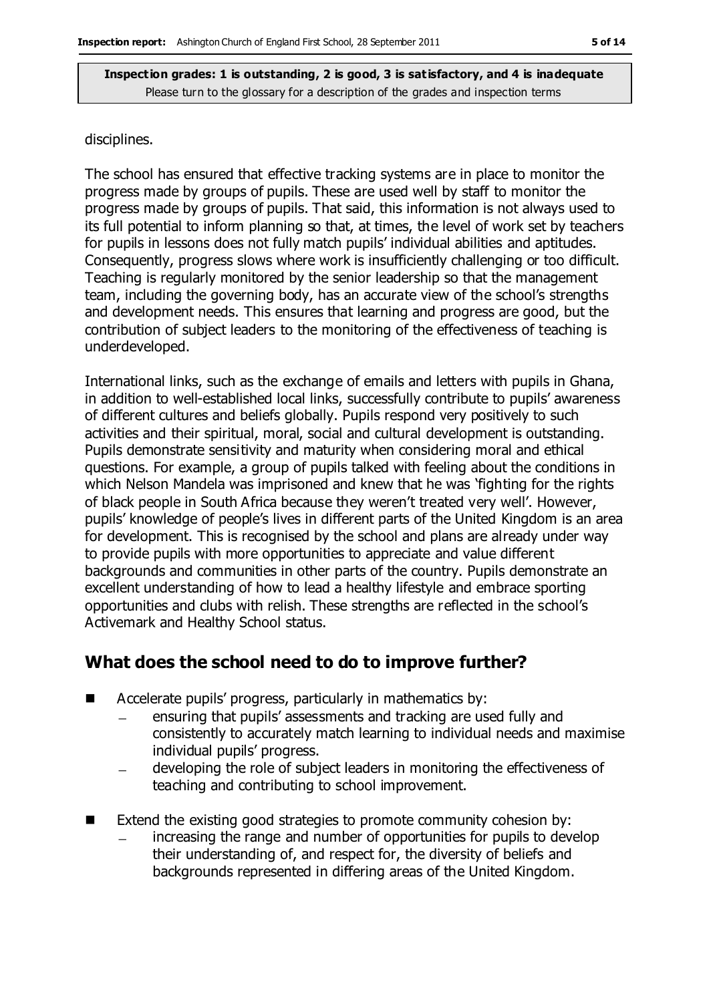#### disciplines.

The school has ensured that effective tracking systems are in place to monitor the progress made by groups of pupils. These are used well by staff to monitor the progress made by groups of pupils. That said, this information is not always used to its full potential to inform planning so that, at times, the level of work set by teachers for pupils in lessons does not fully match pupils' individual abilities and aptitudes. Consequently, progress slows where work is insufficiently challenging or too difficult. Teaching is regularly monitored by the senior leadership so that the management team, including the governing body, has an accurate view of the school's strengths and development needs. This ensures that learning and progress are good, but the contribution of subject leaders to the monitoring of the effectiveness of teaching is underdeveloped.

International links, such as the exchange of emails and letters with pupils in Ghana, in addition to well-established local links, successfully contribute to pupils' awareness of different cultures and beliefs globally. Pupils respond very positively to such activities and their spiritual, moral, social and cultural development is outstanding. Pupils demonstrate sensitivity and maturity when considering moral and ethical questions. For example, a group of pupils talked with feeling about the conditions in which Nelson Mandela was imprisoned and knew that he was 'fighting for the rights of black people in South Africa because they weren't treated very well'. However, pupils' knowledge of people's lives in different parts of the United Kingdom is an area for development. This is recognised by the school and plans are already under way to provide pupils with more opportunities to appreciate and value different backgrounds and communities in other parts of the country. Pupils demonstrate an excellent understanding of how to lead a healthy lifestyle and embrace sporting opportunities and clubs with relish. These strengths are reflected in the school's Activemark and Healthy School status.

## **What does the school need to do to improve further?**

- Accelerate pupils' progress, particularly in mathematics by:
	- ensuring that pupils' assessments and tracking are used fully and consistently to accurately match learning to individual needs and maximise individual pupils' progress.
	- developing the role of subject leaders in monitoring the effectiveness of teaching and contributing to school improvement.
- Extend the existing good strategies to promote community cohesion by: increasing the range and number of opportunities for pupils to develop their understanding of, and respect for, the diversity of beliefs and backgrounds represented in differing areas of the United Kingdom.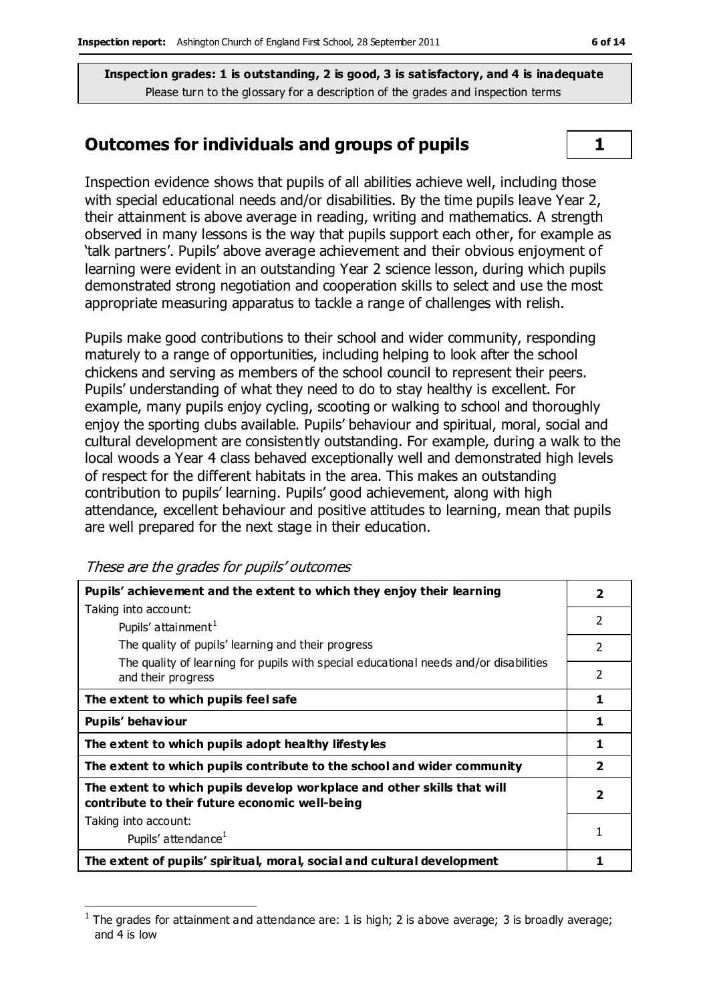### **Outcomes for individuals and groups of pupils 1**

Inspection evidence shows that pupils of all abilities achieve well, including those with special educational needs and/or disabilities. By the time pupils leave Year 2, their attainment is above average in reading, writing and mathematics. A strength observed in many lessons is the way that pupils support each other, for example as 'talk partners'. Pupils' above average achievement and their obvious enjoyment of learning were evident in an outstanding Year 2 science lesson, during which pupils demonstrated strong negotiation and cooperation skills to select and use the most appropriate measuring apparatus to tackle a range of challenges with relish.

Pupils make good contributions to their school and wider community, responding maturely to a range of opportunities, including helping to look after the school chickens and serving as members of the school council to represent their peers. Pupils' understanding of what they need to do to stay healthy is excellent. For example, many pupils enjoy cycling, scooting or walking to school and thoroughly enjoy the sporting clubs available. Pupils' behaviour and spiritual, moral, social and cultural development are consistently outstanding. For example, during a walk to the local woods a Year 4 class behaved exceptionally well and demonstrated high levels of respect for the different habitats in the area. This makes an outstanding contribution to pupils' learning. Pupils' good achievement, along with high attendance, excellent behaviour and positive attitudes to learning, mean that pupils are well prepared for the next stage in their education.

These are the grades for pupils' outcomes

| Pupils' achievement and the extent to which they enjoy their learning                                                     |                          |  |
|---------------------------------------------------------------------------------------------------------------------------|--------------------------|--|
| Taking into account:                                                                                                      |                          |  |
| Pupils' attainment <sup>1</sup>                                                                                           | $\mathcal{P}$            |  |
| The quality of pupils' learning and their progress                                                                        | $\mathcal{P}$            |  |
| The quality of learning for pupils with special educational needs and/or disabilities<br>and their progress               | $\overline{\phantom{a}}$ |  |
| The extent to which pupils feel safe                                                                                      | 1                        |  |
| Pupils' behaviour                                                                                                         |                          |  |
| The extent to which pupils adopt healthy lifestyles                                                                       |                          |  |
| The extent to which pupils contribute to the school and wider community                                                   |                          |  |
| The extent to which pupils develop workplace and other skills that will<br>contribute to their future economic well-being |                          |  |
| Taking into account:                                                                                                      |                          |  |
| Pupils' attendance <sup>1</sup>                                                                                           |                          |  |
| The extent of pupils' spiritual, moral, social and cultural development                                                   |                          |  |

 $\overline{a}$ 1 The grades for attainment and attendance are: 1 is high; 2 is above average; 3 is broadly average; and 4 is low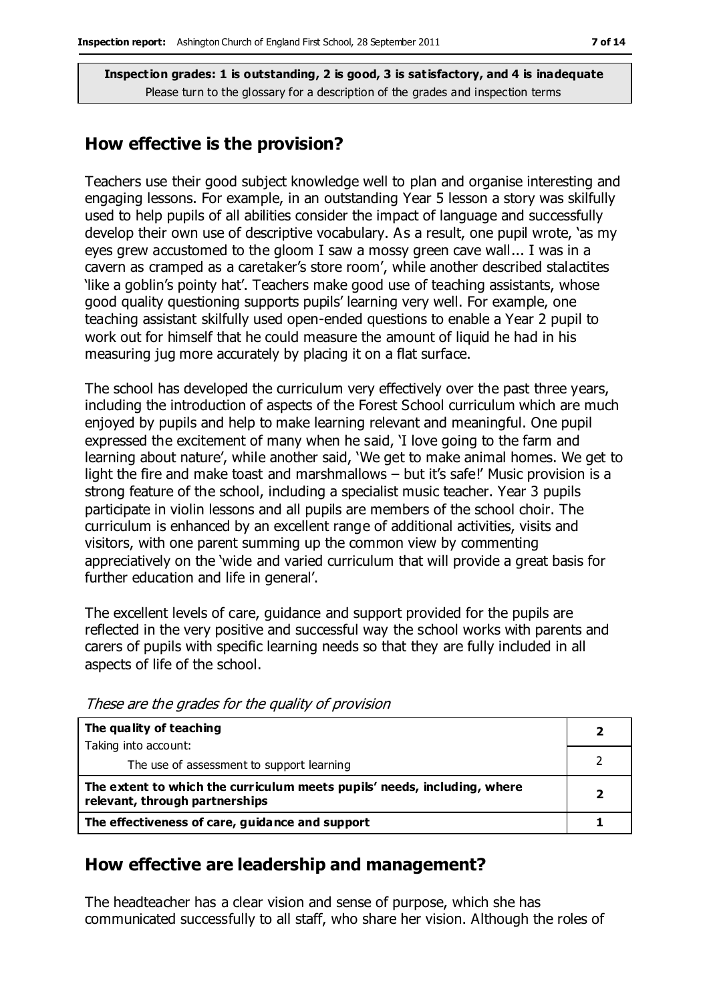### **How effective is the provision?**

Teachers use their good subject knowledge well to plan and organise interesting and engaging lessons. For example, in an outstanding Year 5 lesson a story was skilfully used to help pupils of all abilities consider the impact of language and successfully develop their own use of descriptive vocabulary. As a result, one pupil wrote, 'as my eyes grew accustomed to the gloom I saw a mossy green cave wall... I was in a cavern as cramped as a caretaker's store room', while another described stalactites 'like a goblin's pointy hat'. Teachers make good use of teaching assistants, whose good quality questioning supports pupils' learning very well. For example, one teaching assistant skilfully used open-ended questions to enable a Year 2 pupil to work out for himself that he could measure the amount of liquid he had in his measuring jug more accurately by placing it on a flat surface.

The school has developed the curriculum very effectively over the past three years, including the introduction of aspects of the Forest School curriculum which are much enjoyed by pupils and help to make learning relevant and meaningful. One pupil expressed the excitement of many when he said, 'I love going to the farm and learning about nature', while another said, 'We get to make animal homes. We get to light the fire and make toast and marshmallows – but it's safe!' Music provision is a strong feature of the school, including a specialist music teacher. Year 3 pupils participate in violin lessons and all pupils are members of the school choir. The curriculum is enhanced by an excellent range of additional activities, visits and visitors, with one parent summing up the common view by commenting appreciatively on the 'wide and varied curriculum that will provide a great basis for further education and life in general'.

The excellent levels of care, guidance and support provided for the pupils are reflected in the very positive and successful way the school works with parents and carers of pupils with specific learning needs so that they are fully included in all aspects of life of the school.

| The quality of teaching                                                                                    |  |
|------------------------------------------------------------------------------------------------------------|--|
| Taking into account:                                                                                       |  |
| The use of assessment to support learning                                                                  |  |
| The extent to which the curriculum meets pupils' needs, including, where<br>relevant, through partnerships |  |
| The effectiveness of care, guidance and support                                                            |  |

These are the grades for the quality of provision

## **How effective are leadership and management?**

The headteacher has a clear vision and sense of purpose, which she has communicated successfully to all staff, who share her vision. Although the roles of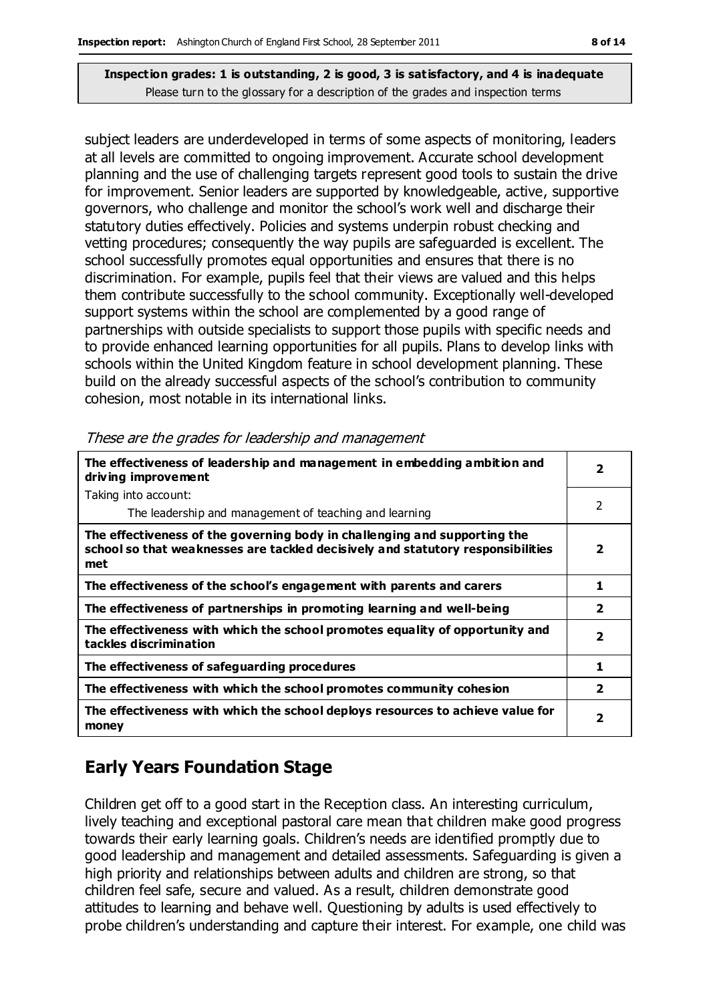subject leaders are underdeveloped in terms of some aspects of monitoring, leaders at all levels are committed to ongoing improvement. Accurate school development planning and the use of challenging targets represent good tools to sustain the drive for improvement. Senior leaders are supported by knowledgeable, active, supportive governors, who challenge and monitor the school's work well and discharge their statutory duties effectively. Policies and systems underpin robust checking and vetting procedures; consequently the way pupils are safeguarded is excellent. The school successfully promotes equal opportunities and ensures that there is no discrimination. For example, pupils feel that their views are valued and this helps them contribute successfully to the school community. Exceptionally well-developed support systems within the school are complemented by a good range of partnerships with outside specialists to support those pupils with specific needs and to provide enhanced learning opportunities for all pupils. Plans to develop links with schools within the United Kingdom feature in school development planning. These build on the already successful aspects of the school's contribution to community cohesion, most notable in its international links.

| The effectiveness of leadership and management in embedding ambition and<br>driving improvement                                                                     |                         |  |
|---------------------------------------------------------------------------------------------------------------------------------------------------------------------|-------------------------|--|
| Taking into account:                                                                                                                                                |                         |  |
| The leadership and management of teaching and learning                                                                                                              | 2                       |  |
| The effectiveness of the governing body in challenging and supporting the<br>school so that weaknesses are tackled decisively and statutory responsibilities<br>met | $\overline{2}$          |  |
| The effectiveness of the school's engagement with parents and carers                                                                                                | 1                       |  |
| The effectiveness of partnerships in promoting learning and well-being                                                                                              | $\overline{\mathbf{2}}$ |  |
| The effectiveness with which the school promotes equality of opportunity and<br>tackles discrimination                                                              | $\overline{\mathbf{2}}$ |  |
| The effectiveness of safeguarding procedures                                                                                                                        | 1                       |  |
| The effectiveness with which the school promotes community cohesion                                                                                                 | $\overline{\mathbf{2}}$ |  |
| The effectiveness with which the school deploys resources to achieve value for<br>money                                                                             | $\overline{\mathbf{2}}$ |  |

These are the grades for leadership and management

## **Early Years Foundation Stage**

Children get off to a good start in the Reception class. An interesting curriculum, lively teaching and exceptional pastoral care mean that children make good progress towards their early learning goals. Children's needs are identified promptly due to good leadership and management and detailed assessments. Safeguarding is given a high priority and relationships between adults and children are strong, so that children feel safe, secure and valued. As a result, children demonstrate good attitudes to learning and behave well. Questioning by adults is used effectively to probe children's understanding and capture their interest. For example, one child was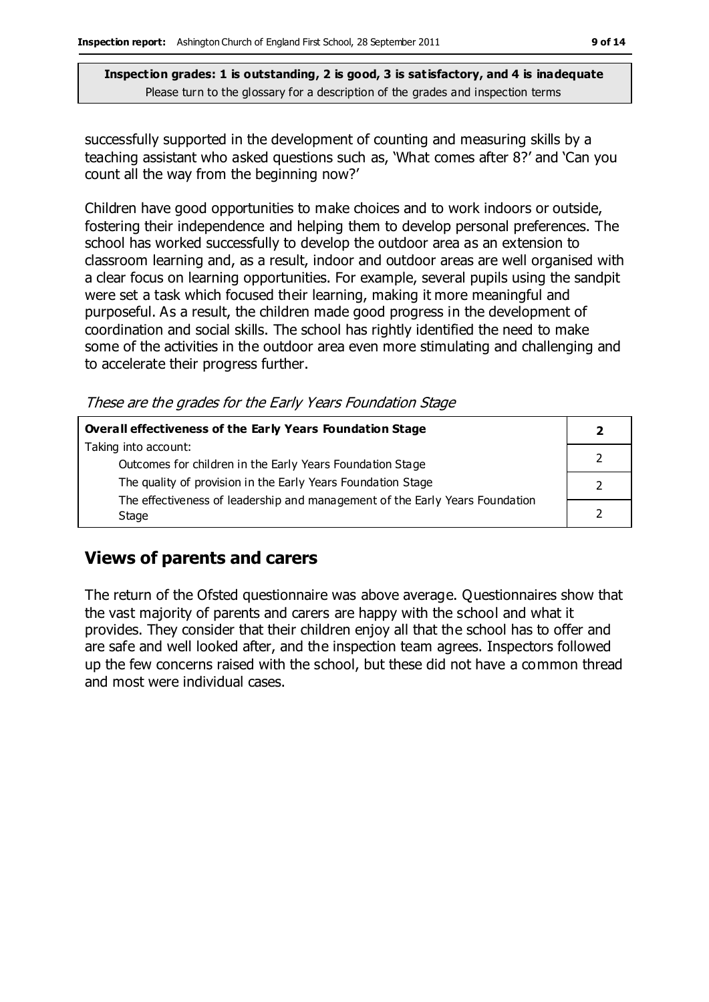successfully supported in the development of counting and measuring skills by a teaching assistant who asked questions such as, 'What comes after 8?' and 'Can you count all the way from the beginning now?'

Children have good opportunities to make choices and to work indoors or outside, fostering their independence and helping them to develop personal preferences. The school has worked successfully to develop the outdoor area as an extension to classroom learning and, as a result, indoor and outdoor areas are well organised with a clear focus on learning opportunities. For example, several pupils using the sandpit were set a task which focused their learning, making it more meaningful and purposeful. As a result, the children made good progress in the development of coordination and social skills. The school has rightly identified the need to make some of the activities in the outdoor area even more stimulating and challenging and to accelerate their progress further.

These are the grades for the Early Years Foundation Stage

| Overall effectiveness of the Early Years Foundation Stage                    |  |  |
|------------------------------------------------------------------------------|--|--|
| Taking into account:                                                         |  |  |
| Outcomes for children in the Early Years Foundation Stage                    |  |  |
| The quality of provision in the Early Years Foundation Stage                 |  |  |
| The effectiveness of leadership and management of the Early Years Foundation |  |  |
| Stage                                                                        |  |  |

## **Views of parents and carers**

The return of the Ofsted questionnaire was above average. Questionnaires show that the vast majority of parents and carers are happy with the school and what it provides. They consider that their children enjoy all that the school has to offer and are safe and well looked after, and the inspection team agrees. Inspectors followed up the few concerns raised with the school, but these did not have a common thread and most were individual cases.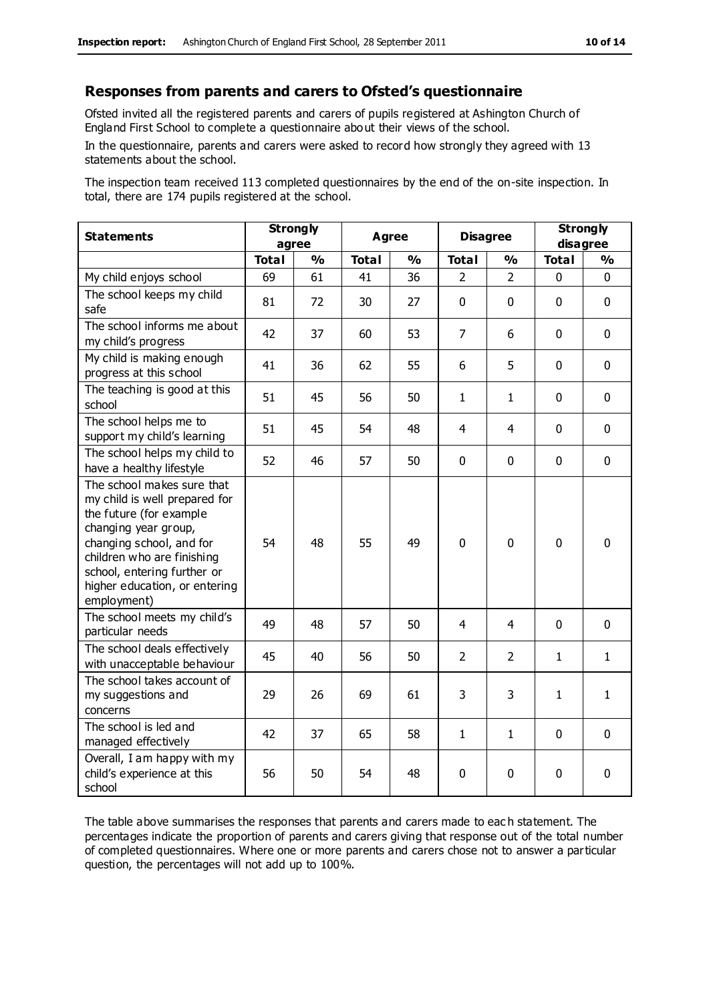#### **Responses from parents and carers to Ofsted's questionnaire**

Ofsted invited all the registered parents and carers of pupils registered at Ashington Church of England First School to complete a questionnaire about their views of the school.

In the questionnaire, parents and carers were asked to record how strongly they agreed with 13 statements about the school.

The inspection team received 113 completed questionnaires by the end of the on-site inspection. In total, there are 174 pupils registered at the school.

| <b>Statements</b>                                                                                                                                                                                                                                       | <b>Strongly</b><br>agree |               | <b>Agree</b> |               | <b>Disagree</b> |                | <b>Strongly</b><br>disagree |               |
|---------------------------------------------------------------------------------------------------------------------------------------------------------------------------------------------------------------------------------------------------------|--------------------------|---------------|--------------|---------------|-----------------|----------------|-----------------------------|---------------|
|                                                                                                                                                                                                                                                         | <b>Total</b>             | $\frac{0}{0}$ | <b>Total</b> | $\frac{0}{0}$ | <b>Total</b>    | $\frac{0}{0}$  | <b>Total</b>                | $\frac{1}{2}$ |
| My child enjoys school                                                                                                                                                                                                                                  | 69                       | 61            | 41           | 36            | $\mathcal{P}$   | $\mathcal{P}$  | 0                           | $\Omega$      |
| The school keeps my child<br>safe                                                                                                                                                                                                                       | 81                       | 72            | 30           | 27            | $\pmb{0}$       | $\mathbf 0$    | $\mathbf{0}$                | $\mathbf 0$   |
| The school informs me about<br>my child's progress                                                                                                                                                                                                      | 42                       | 37            | 60           | 53            | $\overline{7}$  | 6              | $\mathbf 0$                 | $\mathbf 0$   |
| My child is making enough<br>progress at this school                                                                                                                                                                                                    | 41                       | 36            | 62           | 55            | 6               | 5              | $\mathbf 0$                 | $\mathbf 0$   |
| The teaching is good at this<br>school                                                                                                                                                                                                                  | 51                       | 45            | 56           | 50            | 1               | 1              | $\mathbf 0$                 | $\mathbf 0$   |
| The school helps me to<br>support my child's learning                                                                                                                                                                                                   | 51                       | 45            | 54           | 48            | 4               | 4              | $\mathbf 0$                 | $\mathbf 0$   |
| The school helps my child to<br>have a healthy lifestyle                                                                                                                                                                                                | 52                       | 46            | 57           | 50            | $\mathbf 0$     | $\mathbf 0$    | $\mathbf 0$                 | $\mathbf 0$   |
| The school makes sure that<br>my child is well prepared for<br>the future (for example<br>changing year group,<br>changing school, and for<br>children who are finishing<br>school, entering further or<br>higher education, or entering<br>employment) | 54                       | 48            | 55           | 49            | 0               | $\mathbf 0$    | $\mathbf 0$                 | $\mathbf 0$   |
| The school meets my child's<br>particular needs                                                                                                                                                                                                         | 49                       | 48            | 57           | 50            | 4               | 4              | $\mathbf 0$                 | $\mathbf 0$   |
| The school deals effectively<br>with unacceptable behaviour                                                                                                                                                                                             | 45                       | 40            | 56           | 50            | $\overline{2}$  | $\overline{2}$ | 1                           | 1             |
| The school takes account of<br>my suggestions and<br>concerns                                                                                                                                                                                           | 29                       | 26            | 69           | 61            | 3               | 3              | $\mathbf{1}$                | $\mathbf{1}$  |
| The school is led and<br>managed effectively                                                                                                                                                                                                            | 42                       | 37            | 65           | 58            | $\mathbf{1}$    | 1              | $\mathbf 0$                 | $\mathbf 0$   |
| Overall, I am happy with my<br>child's experience at this<br>school                                                                                                                                                                                     | 56                       | 50            | 54           | 48            | 0               | $\mathbf 0$    | $\mathbf 0$                 | 0             |

The table above summarises the responses that parents and carers made to eac h statement. The percentages indicate the proportion of parents and carers giving that response out of the total number of completed questionnaires. Where one or more parents and carers chose not to answer a particular question, the percentages will not add up to 100%.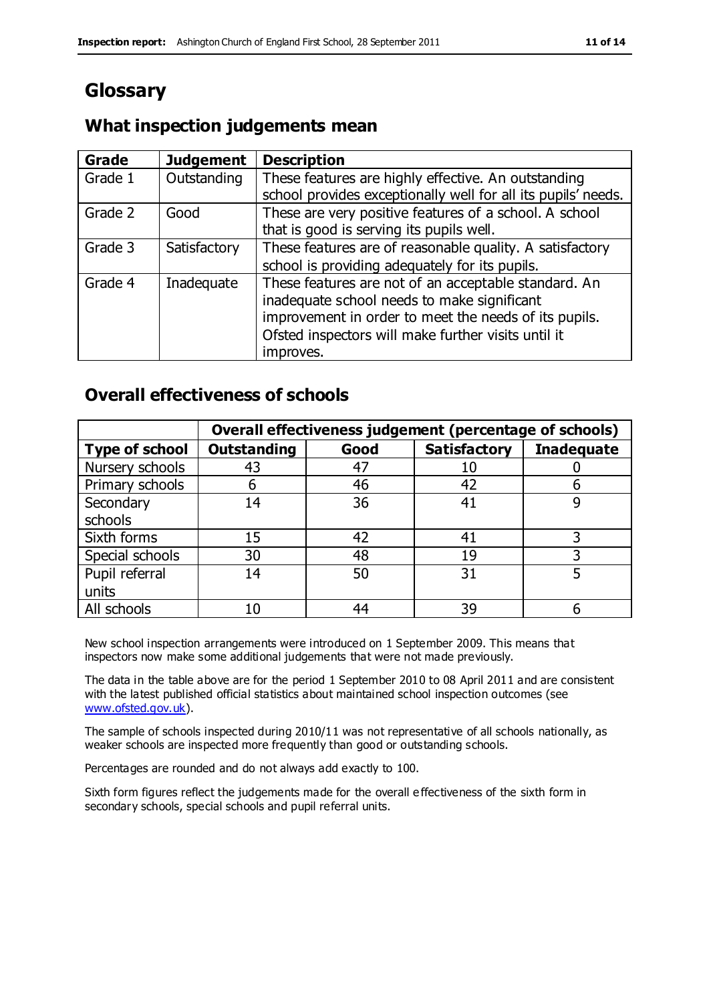## **Glossary**

## **What inspection judgements mean**

| Grade   | <b>Judgement</b> | <b>Description</b>                                            |
|---------|------------------|---------------------------------------------------------------|
| Grade 1 | Outstanding      | These features are highly effective. An outstanding           |
|         |                  | school provides exceptionally well for all its pupils' needs. |
| Grade 2 | Good             | These are very positive features of a school. A school        |
|         |                  | that is good is serving its pupils well.                      |
| Grade 3 | Satisfactory     | These features are of reasonable quality. A satisfactory      |
|         |                  | school is providing adequately for its pupils.                |
| Grade 4 | Inadequate       | These features are not of an acceptable standard. An          |
|         |                  | inadequate school needs to make significant                   |
|         |                  | improvement in order to meet the needs of its pupils.         |
|         |                  | Ofsted inspectors will make further visits until it           |
|         |                  | improves.                                                     |

## **Overall effectiveness of schools**

|                       | Overall effectiveness judgement (percentage of schools) |      |                     |                   |
|-----------------------|---------------------------------------------------------|------|---------------------|-------------------|
| <b>Type of school</b> | <b>Outstanding</b>                                      | Good | <b>Satisfactory</b> | <b>Inadequate</b> |
| Nursery schools       | 43                                                      | 47   | 10                  |                   |
| Primary schools       | 6                                                       | 46   | 42                  |                   |
| Secondary             | 14                                                      | 36   | 41                  |                   |
| schools               |                                                         |      |                     |                   |
| Sixth forms           | 15                                                      | 42   | 41                  | 3                 |
| Special schools       | 30                                                      | 48   | 19                  |                   |
| Pupil referral        | 14                                                      | 50   | 31                  |                   |
| units                 |                                                         |      |                     |                   |
| All schools           | 10                                                      | 44   | 39                  |                   |

New school inspection arrangements were introduced on 1 September 2009. This means that inspectors now make some additional judgements that were not made previously.

The data in the table above are for the period 1 September 2010 to 08 April 2011 and are consistent with the latest published official statistics about maintained school inspection outcomes (see [www.ofsted.gov.uk\)](http://www.ofsted.gov.uk/).

The sample of schools inspected during 2010/11 was not representative of all schools nationally, as weaker schools are inspected more frequently than good or outstanding schools.

Percentages are rounded and do not always add exactly to 100.

Sixth form figures reflect the judgements made for the overall e ffectiveness of the sixth form in secondary schools, special schools and pupil referral units.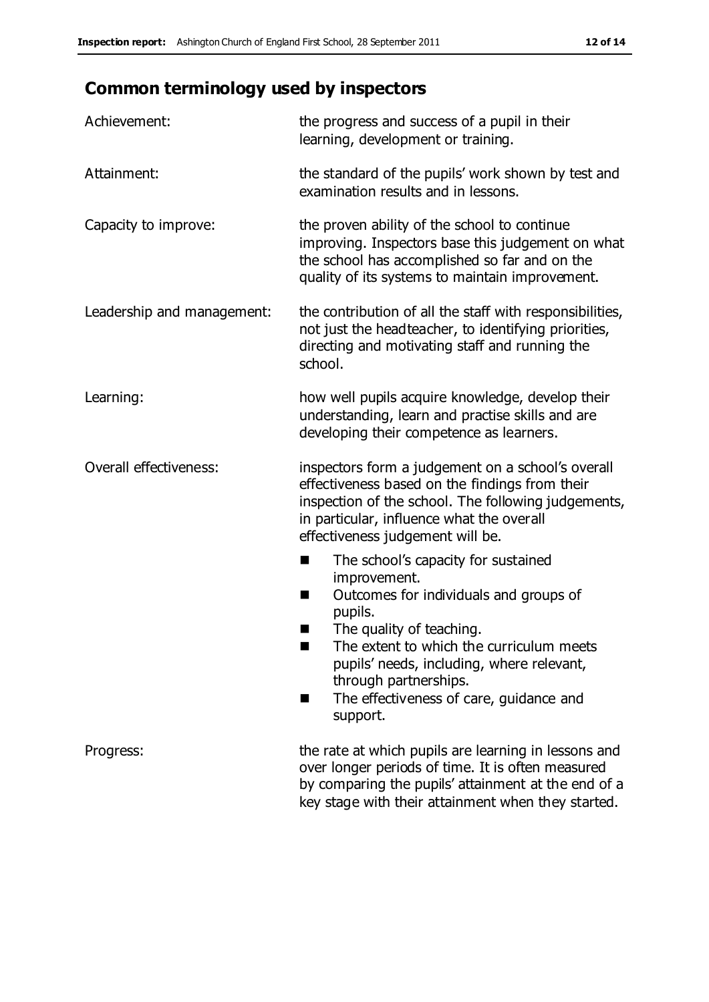## **Common terminology used by inspectors**

| Achievement:                  | the progress and success of a pupil in their<br>learning, development or training.                                                                                                                                                                                                                                      |  |  |
|-------------------------------|-------------------------------------------------------------------------------------------------------------------------------------------------------------------------------------------------------------------------------------------------------------------------------------------------------------------------|--|--|
| Attainment:                   | the standard of the pupils' work shown by test and<br>examination results and in lessons.                                                                                                                                                                                                                               |  |  |
| Capacity to improve:          | the proven ability of the school to continue<br>improving. Inspectors base this judgement on what<br>the school has accomplished so far and on the<br>quality of its systems to maintain improvement.                                                                                                                   |  |  |
| Leadership and management:    | the contribution of all the staff with responsibilities,<br>not just the headteacher, to identifying priorities,<br>directing and motivating staff and running the<br>school.                                                                                                                                           |  |  |
| Learning:                     | how well pupils acquire knowledge, develop their<br>understanding, learn and practise skills and are<br>developing their competence as learners.                                                                                                                                                                        |  |  |
| <b>Overall effectiveness:</b> | inspectors form a judgement on a school's overall<br>effectiveness based on the findings from their<br>inspection of the school. The following judgements,<br>in particular, influence what the overall<br>effectiveness judgement will be.                                                                             |  |  |
|                               | The school's capacity for sustained<br>improvement.<br>Outcomes for individuals and groups of<br>ш<br>pupils.<br>The quality of teaching.<br>The extent to which the curriculum meets<br>pupils' needs, including, where relevant,<br>through partnerships.<br>The effectiveness of care, guidance and<br>٠<br>support. |  |  |
| Progress:                     | the rate at which pupils are learning in lessons and<br>over longer periods of time. It is often measured<br>by comparing the pupils' attainment at the end of a<br>key stage with their attainment when they started.                                                                                                  |  |  |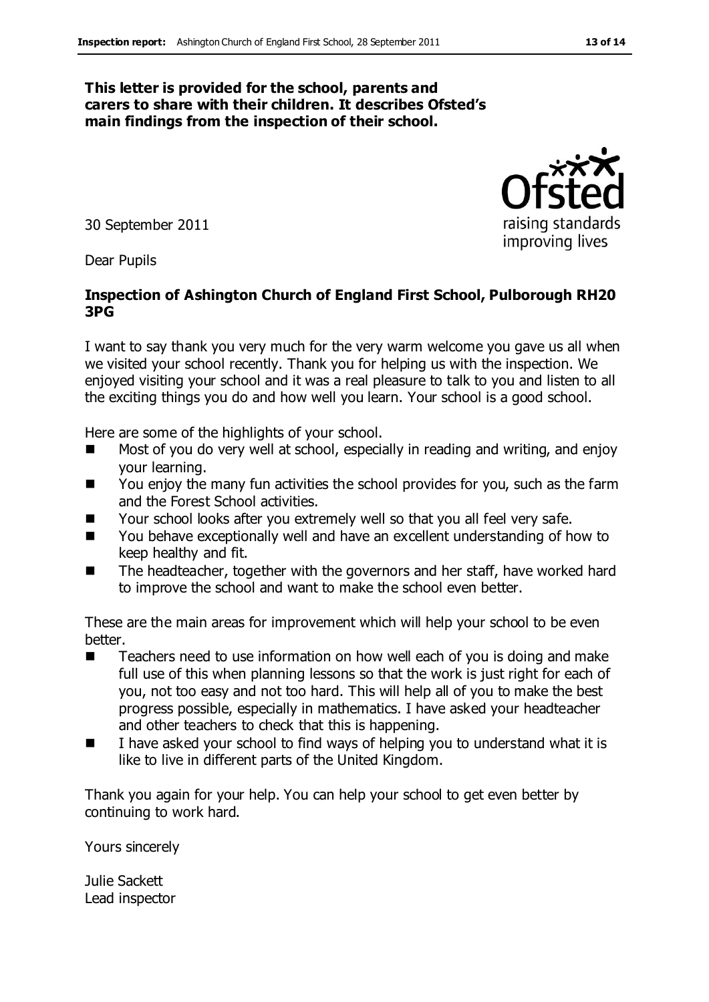#### **This letter is provided for the school, parents and carers to share with their children. It describes Ofsted's main findings from the inspection of their school.**

30 September 2011

Dear Pupils

#### **Inspection of Ashington Church of England First School, Pulborough RH20 3PG**

I want to say thank you very much for the very warm welcome you gave us all when we visited your school recently. Thank you for helping us with the inspection. We enjoyed visiting your school and it was a real pleasure to talk to you and listen to all the exciting things you do and how well you learn. Your school is a good school.

Here are some of the highlights of your school.

- Most of you do very well at school, especially in reading and writing, and enjoy your learning.
- You enjoy the many fun activities the school provides for you, such as the farm and the Forest School activities.
- Your school looks after you extremely well so that you all feel very safe.
- You behave exceptionally well and have an excellent understanding of how to keep healthy and fit.
- The headteacher, together with the governors and her staff, have worked hard to improve the school and want to make the school even better.

These are the main areas for improvement which will help your school to be even better.

- Teachers need to use information on how well each of you is doing and make full use of this when planning lessons so that the work is just right for each of you, not too easy and not too hard. This will help all of you to make the best progress possible, especially in mathematics. I have asked your headteacher and other teachers to check that this is happening.
- I have asked your school to find ways of helping you to understand what it is like to live in different parts of the United Kingdom.

Thank you again for your help. You can help your school to get even better by continuing to work hard.

Yours sincerely

Julie Sackett Lead inspector